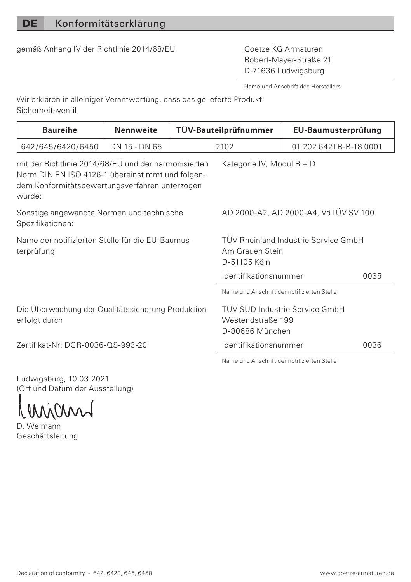DE Konformitätserklärung

gemäß Anhang IV der Richtlinie 2014/68/EU Goetze KG Armaturen

Robert-Mayer-Straße 21 D-71636 Ludwigsburg

Name und Anschrift des Herstellers

Wir erklären in alleiniger Verantwortung, dass das gelieferte Produkt: Sicherheitsventil

| Baureihe                                                                                                                                                             | Nennweite     | TÜV-Bauteilprüfnummer                                                   |                                                | EU-Baumusterprüfung            |      |
|----------------------------------------------------------------------------------------------------------------------------------------------------------------------|---------------|-------------------------------------------------------------------------|------------------------------------------------|--------------------------------|------|
| 642/645/6420/6450                                                                                                                                                    | DN 15 - DN 65 | 2102                                                                    |                                                | 01 202 642TR-R-18 0001         |      |
| mit der Richtlinie 2014/68/EU und der harmonisierten<br>Norm DIN EN ISO 4126-1 übereinstimmt und folgen-<br>dem Konformitätsbewertungsverfahren unterzogen<br>wurde: |               |                                                                         | Kategorie IV. Modul B + D                      |                                |      |
| Sonstige angewandte Normen und technische<br>Spezifikationen:                                                                                                        |               |                                                                         | AD 2000-A2, AD 2000-A4, VdTÜV SV 100           |                                |      |
| Name der notifizierten Stelle für die EU-Baumus-<br>terprüfung                                                                                                       |               | TÜV Rheinland Industrie Service GmbH<br>Am Grauen Stein<br>D-51105 Köln |                                                |                                |      |
|                                                                                                                                                                      |               |                                                                         | Identifikationsnummer                          |                                | 0035 |
|                                                                                                                                                                      |               |                                                                         | Name und Anschrift der notifizierten Stelle    |                                |      |
| Die Überwachung der Qualitätssicherung Produktion<br>erfolgt durch                                                                                                   |               |                                                                         | Westendstraße 199<br>D-80686 München           | TÜV SÜD Industrie Service GmbH |      |
| Zertifikat-Nr: DGR-0036-OS-993-20                                                                                                                                    |               |                                                                         | Identifikationsnummer                          |                                | 0036 |
|                                                                                                                                                                      |               |                                                                         | Massey coal Associate des positions en Carlle- |                                |      |

Ludwigsburg, 10.03.2021 (Ort und Datum der Ausstellung)

D. Weimann Geschäftsleitung Name und Anschrift der notifizierten Stelle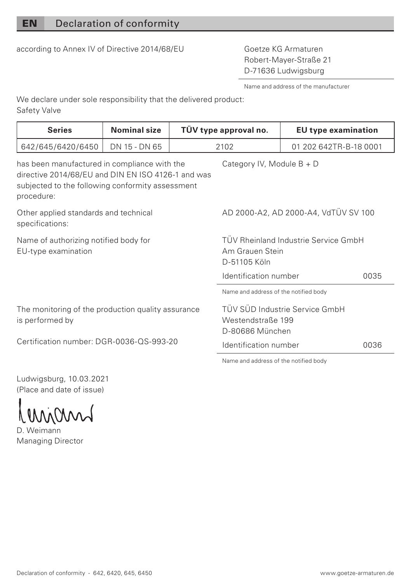EN Declaration of conformity

according to Annex IV of Directive 2014/68/EU Goetze KG Armaturen

Robert-Mayer-Straße 21 D-71636 Ludwigsburg

Name and address of the manufacturer

We declare under sole responsibility that the delivered product: Safety Valve

| <b>Series</b>                                                                                                                                                        | Nominal size  | TÜV type approval no. |                                                                         | <b>EU</b> type examination           |      |
|----------------------------------------------------------------------------------------------------------------------------------------------------------------------|---------------|-----------------------|-------------------------------------------------------------------------|--------------------------------------|------|
| 642/645/6420/6450                                                                                                                                                    | DN 15 - DN 65 | 2102                  |                                                                         | 01 202 642TR-R-18 0001               |      |
| has been manufactured in compliance with the<br>directive 2014/68/EU and DIN EN ISO 4126-1 and was<br>subjected to the following conformity assessment<br>procedure: |               |                       | Category IV, Module B + D                                               |                                      |      |
| Other applied standards and technical<br>specifications:                                                                                                             |               |                       |                                                                         | AD 2000-A2. AD 2000-A4. VdTÜV SV 100 |      |
| Name of authorizing notified body for<br>EU-type examination                                                                                                         |               |                       | TÜV Rheinland Industrie Service GmbH<br>Am Grauen Stein<br>D-51105 Köln |                                      |      |
|                                                                                                                                                                      |               |                       | Identification number                                                   |                                      | 0035 |
|                                                                                                                                                                      |               |                       | Name and address of the notified body                                   |                                      |      |
| The monitoring of the production quality assurance<br>is performed by                                                                                                |               |                       | Westendstraße 199<br>D-80686 München                                    | TÜV SÜD Industrie Service GmbH       |      |
| Certification number: DGB-0036-OS-993-20                                                                                                                             |               |                       | Identification number                                                   |                                      | 0036 |

Name and address of the notified body

Ludwigsburg, 10.03.2021 (Place and date of issue)

D. Weimann Managing Director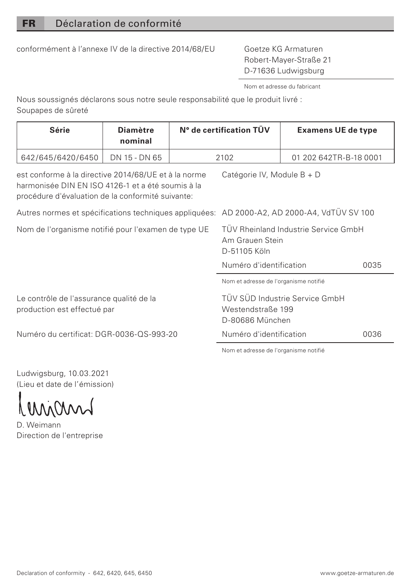conformément à l'annexe IV de la directive 2014/68/EU Goetze KG Armaturen

Robert-Mayer-Straße 21 D-71636 Ludwigsburg

Nom et adresse du fabricant

Nous soussignés déclarons sous notre seule responsabilité que le produit livré : Soupapes de sûreté

| Série             | <b>Diamètre</b><br>nominal | N° de certification TUV | <b>Examens UE de type</b> |
|-------------------|----------------------------|-------------------------|---------------------------|
| 642/645/6420/6450 | DN 15 - DN 65              | 2102                    | 01 202 642TR-B-18 0001    |

est conforme à la directive 2014/68/UE et à la norme harmonisée DIN EN ISO 4126-1 et a été soumis à la procédure d'évaluation de la conformité suivante:

Catégorie IV, Module B + D

Autres normes et spécifications techniques appliquées: AD 2000-A2, AD 2000-A4, VdTÜV SV 100

Nom de l'organisme notifié pour l'examen de type UE TÜV Rheinland Industrie Service GmbH

Am Grauen Stein D-51105 Köln

Numéro d'identification 0035

Nom et adresse de l'organisme notifié

TÜV SÜD Industrie Service GmbH Westendstraße 199 D-80686 München

Numéro d'identification 0036

Nom et adresse de l'organisme notifié

Ludwigsburg, 10.03.2021 (Lieu et date de l'émission)

Le contrôle de l'assurance qualité de la production est effectué par

Numéro du certificat: DGR-0036-QS-993-20

D. Weimann Direction de l'entreprise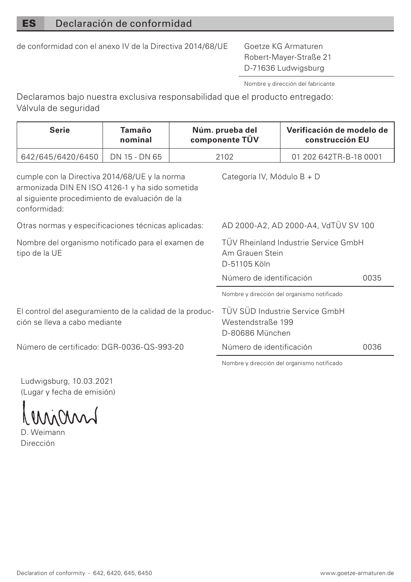# ES Declaración de conformidad

de conformidad con el anexo IV de la Directiva 2014/68/UE Goetze KG Armaturen

Robert-Mayer-Straße 21 D-71636 Ludwigsburg

Nombre y dirección del fabricante

Declaramos bajo nuestra exclusiva responsabilidad que el producto entregado: Válvula de seguridad

| Serie                                                                                                                                                              | Tamaño<br>nominal | Núm. prueba del<br>componente TÜV                                       |                                      | Verificación de modelo de<br>construcción EU |      |
|--------------------------------------------------------------------------------------------------------------------------------------------------------------------|-------------------|-------------------------------------------------------------------------|--------------------------------------|----------------------------------------------|------|
| 642/645/6420/6450                                                                                                                                                  | DN 15 - DN 65     | 2102                                                                    |                                      | 01 202 642TR-B-18 0001                       |      |
| cumple con la Directiva 2014/68/UE y la norma<br>armonizada DIN EN ISO 4126-1 y ha sido sometida<br>al siguiente procedimiento de evaluación de la<br>conformidad: |                   | Categoría IV. Módulo B + D                                              |                                      |                                              |      |
| Otras normas y especificaciones técnicas aplicadas:                                                                                                                |                   |                                                                         | AD 2000-A2. AD 2000-A4. VdTÜV SV 100 |                                              |      |
| Nombre del organismo notificado para el examen de<br>tipo de la UE                                                                                                 |                   | TÜV Rheinland Industrie Service GmbH<br>Am Grauen Stein<br>D-51105 Köln |                                      |                                              |      |
|                                                                                                                                                                    |                   |                                                                         | Número de identificación             |                                              | 0035 |
|                                                                                                                                                                    |                   |                                                                         |                                      | Nombre y dirección del organismo notificado  |      |
| El control del aseguramiento de la calidad de la produc-<br>ción se lleva a cabo mediante                                                                          |                   |                                                                         | Westendstraße 199<br>D-80686 München | TÜV SÜD Industrie Service GmbH               |      |
| Número de certificado: DGR-0036-OS-993-20                                                                                                                          |                   |                                                                         | Número de identificación             |                                              | 0036 |

Nombre y dirección del organismo notificado

Ludwigsburg, 10.03.2021 (Lugar y fecha de emisión)

D. Weimann

Dirección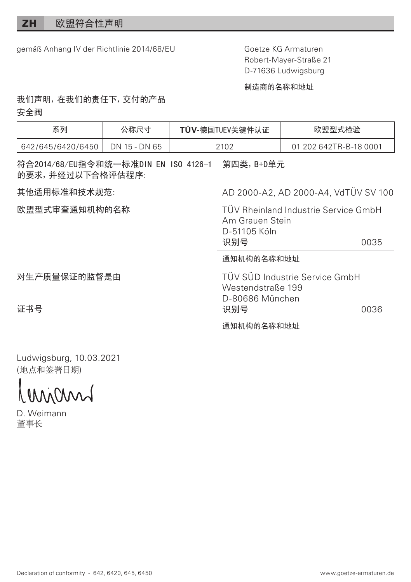## ZH 欧盟符合性声明

gemäß Anhang IV der Richtlinie 2014/68/EU Goetze KG Armaturen

Robert-Mayer-Straße 21

D-71636 Ludwigsburg

制造商的名称和地址

我们声明,在我们的责任下,交付的产品

安全阀

| 系列                                                        | 公称尺寸          | TÜV-德国TUEV关键件认证 |                                                                                        | 欧盟型式检验                         |  |
|-----------------------------------------------------------|---------------|-----------------|----------------------------------------------------------------------------------------|--------------------------------|--|
| 642/645/6420/6450                                         | DN 15 - DN 65 | 2102            |                                                                                        | 01 202 642TR-R-18 0001         |  |
| 符合2014/68/EU指今和统一标准DIN EN ISO 4126-1<br>的要求, 并经过以下合格评估程序: |               | 第四类, B+D单元      |                                                                                        |                                |  |
| 其他适用标准和技术规范:                                              |               |                 | AD 2000-A2, AD 2000-A4, VdTÜV SV 100                                                   |                                |  |
| 欧盟型式审查通知机构的名称                                             |               |                 | TÜV Rheinland Industrie Service GmbH<br>Am Grauen Stein<br>D-51105 Köln<br>识别号<br>0035 |                                |  |
|                                                           |               |                 | 通知机构的名称和地址                                                                             |                                |  |
| 对生产质量保证的监督是由                                              |               |                 | Westendstraße 199<br>D-80686 München                                                   | TÜV SÜD Industrie Service GmbH |  |
| 证书号                                                       |               |                 | 识别号                                                                                    | 0036                           |  |

通知机构的名称和地址

Ludwigsburg, 10.03.2021 (地点和签署日期)

minn

D. Weimann 董事长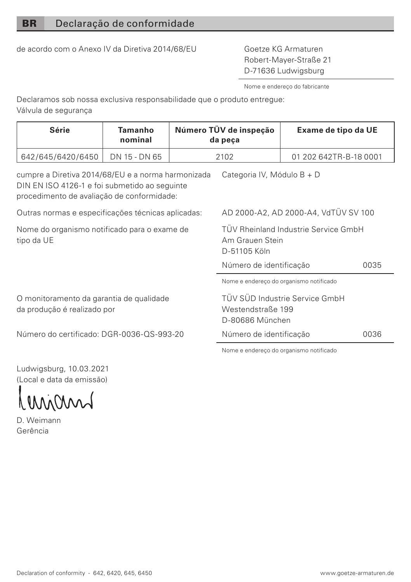### BR Declaração de conformidade

de acordo com o Anexo IV da Diretiva 2014/68/EU Goetze KG Armaturen

Robert-Mayer-Straße 21 D-71636 Ludwigsburg

Nome e endereço do fabricante

Declaramos sob nossa exclusiva responsabilidade que o produto entregue: Válvula de segurança

| Série             | Tamanho<br>nominal | Número TÜV de inspeção<br>da peca | Exame de tipo da UE    |  |
|-------------------|--------------------|-----------------------------------|------------------------|--|
| 642/645/6420/6450 | DN 15 - DN 65      | 2102                              | 01 202 642TR-B-18 0001 |  |

cumpre a Diretiva 2014/68/EU e a norma harmonizada Categoria IV, Módulo B + D DIN EN ISO 4126-1 e foi submetido ao seguinte procedimento de avaliação de conformidade:

Outras normas e especificações técnicas aplicadas: AD 2000-A2, AD 2000-A4, VdTÜV SV 100

Nome do organismo notificado para o exame de tipo da UE

O monitoramento da garantia de qualidade da produção é realizado por

Número do certificado: DGR-0036-QS-993-20

TÜV Rheinland Industrie Service GmbH Am Grauen Stein D-51105 Köln

Número de identificação 0035

Nome e endereço do organismo notificado

TÜV SÜD Industrie Service GmbH Westendstraße 199 D-80686 München

Número de identificação 0036

Nome e endereço do organismo notificado

Ludwigsburg, 10.03.2021 (Local e data da emissão)

MMM

D. Weimann Gerência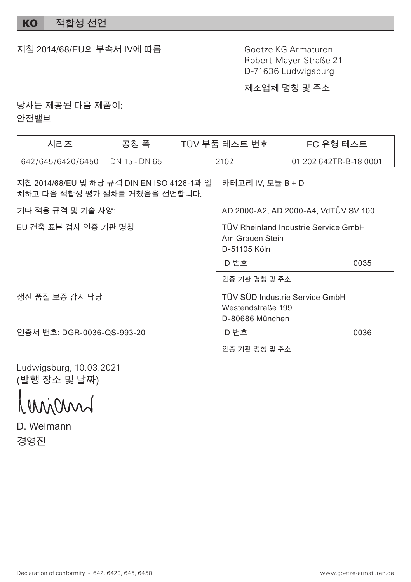### KO 적합성 선언

#### 지침 2014/68/EU의 부속서 IV에 따름 Goetze KG Armaturen

Robert-Mayer-Straße 21 D-71636 Ludwigsburg

제조업체 명칭 및 주소

당사는 제공된 다음 제품이:

안전밸브

| 시리즈                               | 공칭 폭 | TÜV 부품 테스트 번호 | EC 유형 테스트              |
|-----------------------------------|------|---------------|------------------------|
| 642/645/6420/6450   DN 15 - DN 65 |      | 2102          | 01 202 642TR-B-18 0001 |

지침 2014/68/EU 및 해당 규격 DIN EN ISO 4126-1과 일 치하고 다음 적합성 평가 절차를 거쳤음을 선언합니다. 카테고리 IV, 모듈 B + D

기타 적용 규격 및 기술 사양: AD 2000-A2, AD 2000-A4, VdTÜV SV 100

EU 건축 표본 검사 인증 기관 명칭 TÜV Rheinland Industrie Service GmbH Am Grauen Stein D-51105 Köln

ID 번호 0035

인증 기관 명칭 및 주소

TÜV SÜD Industrie Service GmbH Westendstraße 199 D-80686 München

인증서 번호: DGR-0036-QS-993-20

ID 번호 0036

인증 기관 명칭 및 주소

Ludwigsburg, 10.03.2021 (발행 장소 및 날짜)

생산 품질 보증 감시 담당

D. Weimann 경영진